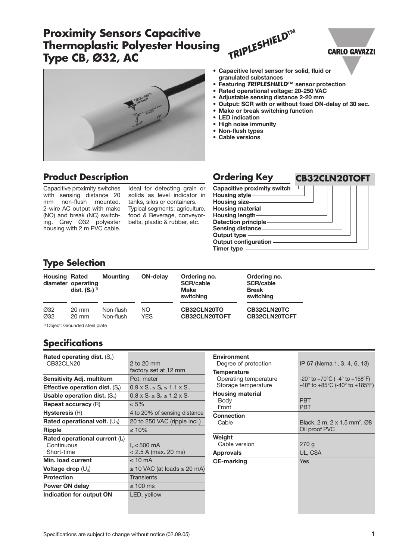# **Proximity Sensors Capacitive Thermoplastic Polyester Housing Type CB, Ø32, AC**





## **Product Description**

Capacitive proximity switches with sensing distance 20 mm non-flush mounted. 2-wire AC output with make (NO) and break (NC) switching. Grey Ø32 polyester housing with 2 m PVC cable.

Ideal for detecting grain or

### **• Capacitive level sensor for solid, fluid or granulated substances**

- **Featuring TRIPLESHIELD™ sensor protection**
- **Rated operational voltage: 20-250 VAC**
- **Adjustable sensing distance 2-20 mm**
- **Output: SCR with or without fixed ON-delay of 30 sec.**

**CARLO GAVAZZI** 

- **Make or break switching function**
- **LED indication**
- **High noise immunity**
- **Non-flush types**
- **Cable versions**

solids as level indicator in tanks, silos or containers. Typical segments: agriculture, food & Beverage, conveyorbelts, plastic & rubber, etc.

## **Ordering Key CB32CLN20TOFT**

**Capacitive proximity switch** ┓ **Housing style Housing size Housing material Housing length Detection principle Sensing distance Output type Output configuration Timer type**

## **Type Selection**

| <b>Housing Rated</b> | diameter operating<br>dist. $(S_n)^{1}$    | <b>Mounting</b>        | <b>ON-delay</b>   | Ordering no.<br><b>SCR/cable</b><br><b>Make</b><br>switching | Ordering no.<br><b>SCR/cable</b><br><b>Break</b><br>switching |
|----------------------|--------------------------------------------|------------------------|-------------------|--------------------------------------------------------------|---------------------------------------------------------------|
| Ø32<br>Ø32           | 20 mm<br>$20 \text{ mm}$                   | Non-flush<br>Non-flush | NO.<br><b>YES</b> | CB32CLN20TO<br>CB32CLN20TOFT                                 | CB32CLN20TC<br><b>CB32CLN20TCFT</b>                           |
|                      | <sup>1)</sup> Object: Grounded steel plate |                        |                   |                                                              |                                                               |

**Specifications** 

| Rated operating dist. $(S_n)$            |                                               |
|------------------------------------------|-----------------------------------------------|
| CB32CLN20                                | 2 to 20 mm                                    |
|                                          | factory set at 12 mm                          |
| Sensitivity Adj. multiturn               | Pot meter                                     |
| <b>Effective operation dist.</b> $(S_i)$ | $0.9 \times S_n \leq S_r \leq 1.1 \times S_n$ |
| Usable operation dist. $(S_n)$           | $0.8 \times S_r \le S_n \le 1.2 \times S_r$   |
| <b>Repeat accuracy (R)</b>               | $\leq 5\%$                                    |
| Hysteresis (H)                           | 4 to 20% of sensing distance                  |
| Rated operational volt. $(U_B)$          | 20 to 250 VAC (ripple incl.)                  |
| <b>Ripple</b>                            | $\leq 10\%$                                   |
| Rated operational current $(I_e)$        |                                               |
| Continuous                               | $l_a \leq 500$ mA                             |
| Short-time                               | $< 2.5$ A (max. 20 ms)                        |
| Min. load current                        | $\leq 10$ mA                                  |
| Voltage drop $(U_d)$                     | $\leq$ 10 VAC (at loads $\geq$ 20 mA)         |
| <b>Protection</b>                        | <b>Transients</b>                             |
| Power ON delay                           | ≤ 100 ms                                      |
| Indication for output ON                 | LED, yellow                                   |
|                                          |                                               |

| <b>Environment</b><br>Degree of protection | IP 67 (Nema 1, 3, 4, 6, 13)                                            |
|--------------------------------------------|------------------------------------------------------------------------|
| <b>Temperature</b>                         |                                                                        |
| Operating temperature                      | $-20^{\circ}$ to $+70^{\circ}$ C ( $-4^{\circ}$ to $+158^{\circ}$ F)   |
| Storage temperature                        | $-40^{\circ}$ to $+85^{\circ}$ C (-40° to $+185^{\circ}$ F)            |
| <b>Housing material</b>                    |                                                                        |
| Body                                       | <b>PRT</b>                                                             |
| Front                                      | <b>PRT</b>                                                             |
| <b>Connection</b>                          |                                                                        |
| Cable                                      | Black, 2 m, 2 x 1.5 mm <sup>2</sup> , $\varnothing$ 8<br>Oil proof PVC |
| Weight                                     |                                                                        |
| Cable version                              | 270g                                                                   |
| <b>Approvals</b>                           | UL, CSA                                                                |
| <b>CE-marking</b>                          | Yes                                                                    |
|                                            |                                                                        |
|                                            |                                                                        |
|                                            |                                                                        |
|                                            |                                                                        |
|                                            |                                                                        |